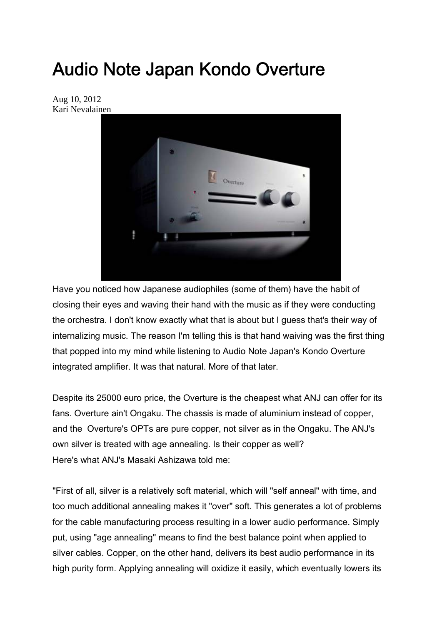# Audio Note Japan Kondo Overture

Aug 10, 2012 Kari Nevalainen



Have you noticed how Japanese audiophiles (some of them) have the habit of closing their eyes and waving their hand with the music as if they were conducting the orchestra. I don't know exactly what that is about but I guess that's their way of internalizing music. The reason I'm telling this is that hand waiving was the first thing that popped into my mind while listening to Audio Note Japan's Kondo Overture integrated amplifier. It was that natural. More of that later.

Despite its 25000 euro price, the Overture is the cheapest what ANJ can offer for its fans. Overture ain't Ongaku. The chassis is made of aluminium instead of copper, and the Overture's OPTs are pure copper, not silver as in the Ongaku. The ANJ's own silver is treated with age annealing. Is their copper as well? Here's what ANJ's Masaki Ashizawa told me:

"First of all, silver is a relatively soft material, which will "self anneal" with time, and too much additional annealing makes it "over" soft. This generates a lot of problems for the cable manufacturing process resulting in a lower audio performance. Simply put, using "age annealing" means to find the best balance point when applied to silver cables. Copper, on the other hand, delivers its best audio performance in its high purity form. Applying annealing will oxidize it easily, which eventually lowers its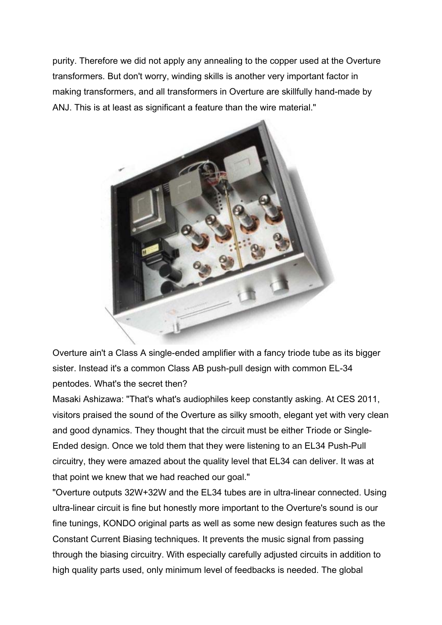purity. Therefore we did not apply any annealing to the copper used at the Overture transformers. But don't worry, winding skills is another very important factor in making transformers, and all transformers in Overture are skillfully hand-made by ANJ. This is at least as significant a feature than the wire material."



Overture ain't a Class A single-ended amplifier with a fancy triode tube as its bigger sister. Instead it's a common Class AB push-pull design with common EL-34 pentodes. What's the secret then?

Masaki Ashizawa: "That's what's audiophiles keep constantly asking. At CES 2011, visitors praised the sound of the Overture as silky smooth, elegant yet with very clean and good dynamics. They thought that the circuit must be either Triode or Single-Ended design. Once we told them that they were listening to an EL34 Push-Pull circuitry, they were amazed about the quality level that EL34 can deliver. It was at that point we knew that we had reached our goal."

"Overture outputs 32W+32W and the EL34 tubes are in ultra-linear connected. Using ultra-linear circuit is fine but honestly more important to the Overture's sound is our fine tunings, KONDO original parts as well as some new design features such as the Constant Current Biasing techniques. It prevents the music signal from passing through the biasing circuitry. With especially carefully adjusted circuits in addition to high quality parts used, only minimum level of feedbacks is needed. The global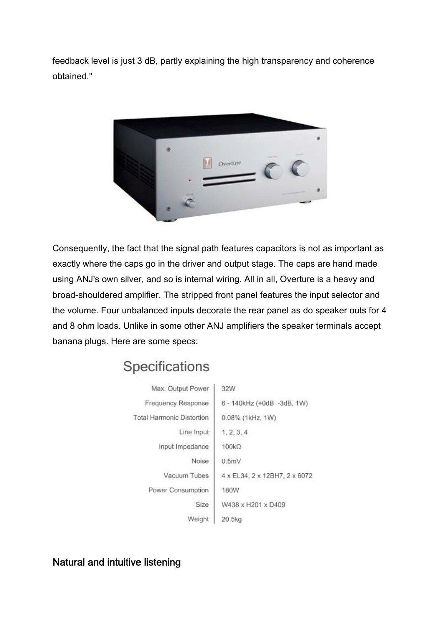feedback level is just 3 dB, partly explaining the high transparency and coherence obtained."



Consequently, the fact that the signal path features capacitors is not as important as exactly where the caps go in the driver and output stage. The caps are hand made using ANJ's own silver, and so is internal wiring. All in all, Overture is a heavy and broad-shouldered amplifier. The stripped front panel features the input selector and the volume. Four unbalanced inputs decorate the rear panel as do speaker outs for 4 and 8 ohm loads. Unlike in some other ANJ amplifiers the speaker terminals accept banana plugs. Here are some specs:

## Specifications

| Max. Output Power                | 32W                            |
|----------------------------------|--------------------------------|
| Frequency Response               | 6 - 140kHz (+0dB -3dB, 1W)     |
| <b>Total Harmonic Distortion</b> | 0.08% (1kHz, 1W)               |
| Line Input                       | 1, 2, 3, 4                     |
| Input Impedance                  | $100k\Omega$                   |
| Noise                            | 0.5mV                          |
| Vacuum Tubes                     | 4 x EL34, 2 x 12BH7, 2 x 6072. |
| Power Consumption                | 180W                           |
| Size                             | W438 x H201 x D409             |
| Weight                           | 20.5kg                         |

Natural and intuitive listening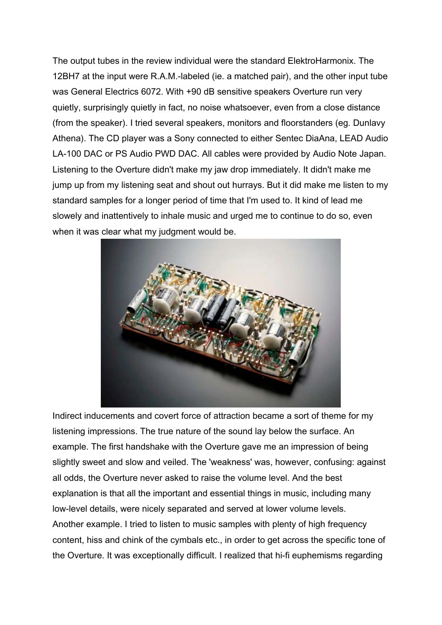The output tubes in the review individual were the standard ElektroHarmonix. The 12BH7 at the input were R.A.M.-labeled (ie. a matched pair), and the other input tube was General Electrics 6072. With +90 dB sensitive speakers Overture run very quietly, surprisingly quietly in fact, no noise whatsoever, even from a close distance (from the speaker). I tried several speakers, monitors and floorstanders (eg. Dunlavy Athena). The CD player was a Sony connected to either Sentec DiaAna, LEAD Audio LA-100 DAC or PS Audio PWD DAC. All cables were provided by Audio Note Japan. Listening to the Overture didn't make my jaw drop immediately. It didn't make me jump up from my listening seat and shout out hurrays. But it did make me listen to my standard samples for a longer period of time that I'm used to. It kind of lead me slowely and inattentively to inhale music and urged me to continue to do so, even when it was clear what my judgment would be.



Indirect inducements and covert force of attraction became a sort of theme for my listening impressions. The true nature of the sound lay below the surface. An example. The first handshake with the Overture gave me an impression of being slightly sweet and slow and veiled. The 'weakness' was, however, confusing: against all odds, the Overture never asked to raise the volume level. And the best explanation is that all the important and essential things in music, including many low-level details, were nicely separated and served at lower volume levels. Another example. I tried to listen to music samples with plenty of high frequency content, hiss and chink of the cymbals etc., in order to get across the specific tone of the Overture. It was exceptionally difficult. I realized that hi-fi euphemisms regarding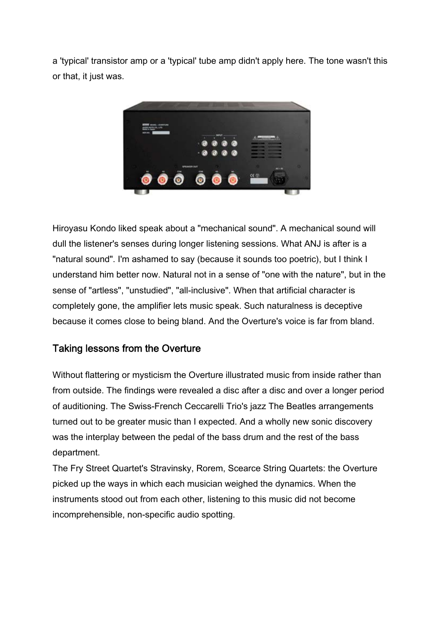a 'typical' transistor amp or a 'typical' tube amp didn't apply here. The tone wasn't this or that, it just was.



Hiroyasu Kondo liked speak about a "mechanical sound". A mechanical sound will dull the listener's senses during longer listening sessions. What ANJ is after is a "natural sound". I'm ashamed to say (because it sounds too poetric), but I think I understand him better now. Natural not in a sense of "one with the nature", but in the sense of "artless", "unstudied", "all-inclusive". When that artificial character is completely gone, the amplifier lets music speak. Such naturalness is deceptive because it comes close to being bland. And the Overture's voice is far from bland.

#### Taking lessons from the Overture

Without flattering or mysticism the Overture illustrated music from inside rather than from outside. The findings were revealed a disc after a disc and over a longer period of auditioning. The Swiss-French Ceccarelli Trio's jazz The Beatles arrangements turned out to be greater music than I expected. And a wholly new sonic discovery was the interplay between the pedal of the bass drum and the rest of the bass department.

The Fry Street Quartet's Stravinsky, Rorem, Scearce String Quartets: the Overture picked up the ways in which each musician weighed the dynamics. When the instruments stood out from each other, listening to this music did not become incomprehensible, non-specific audio spotting.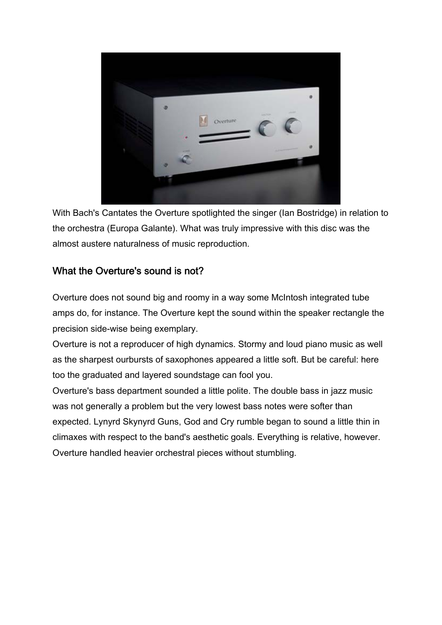

With Bach's Cantates the Overture spotlighted the singer (Ian Bostridge) in relation to the orchestra (Europa Galante). What was truly impressive with this disc was the almost austere naturalness of music reproduction.

### What the Overture's sound is not?

Overture does not sound big and roomy in a way some McIntosh integrated tube amps do, for instance. The Overture kept the sound within the speaker rectangle the precision side-wise being exemplary.

Overture is not a reproducer of high dynamics. Stormy and loud piano music as well as the sharpest ourbursts of saxophones appeared a little soft. But be careful: here too the graduated and layered soundstage can fool you.

Overture's bass department sounded a little polite. The double bass in jazz music was not generally a problem but the very lowest bass notes were softer than expected. Lynyrd Skynyrd Guns, God and Cry rumble began to sound a little thin in climaxes with respect to the band's aesthetic goals. Everything is relative, however. Overture handled heavier orchestral pieces without stumbling.